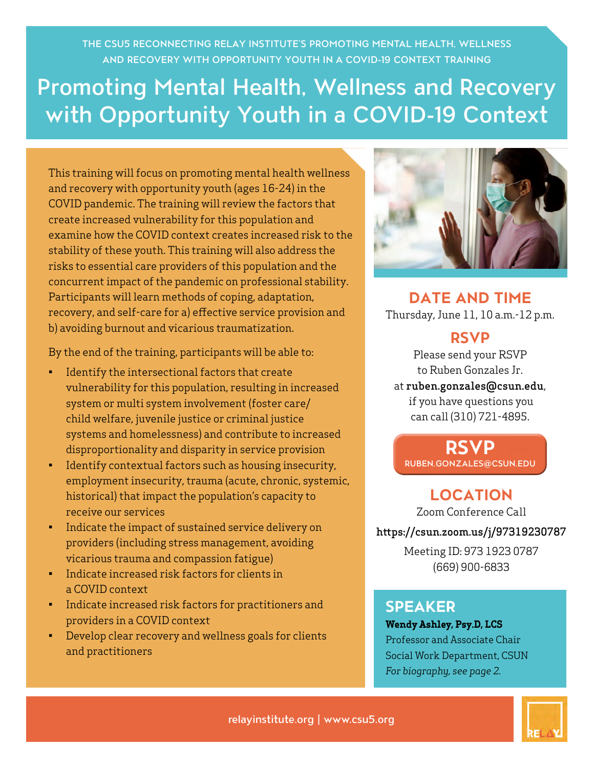THE CSU5 RECONNECTING RELAY INSTITUTE'S PROMOTING MENTAL HEALTH, WELLNESS AND RECOVERY WITH OPPORTUNITY YOUTH IN A COVID-19 CONTEXT TRAINING

# Promoting Mental Health, Wellness and Recovery with Opportunity Youth in a COVID-19 Context

This training will focus on promoting mental health wellness and recovery with opportunity youth (ages 16-24) in the COVID pandemic. The training will review the factors that create increased vulnerability for this population and examine how the COVID context creates increased risk to the stability of these youth. This training will also address the risks to essential care providers of this population and the concurrent impact of the pandemic on professional stability. Participants will learn methods of coping, adaptation, recovery, and self-care for a) effective service provision and b) avoiding burnout and vicarious traumatization.

By the end of the training, participants will be able to:

- Identify the intersectional factors that create vulnerability for this population, resulting in increased system or multi system involvement (foster care/ child welfare, juvenile justice or criminal justice systems and homelessness) and contribute to increased disproportionality and disparity in service provision
- Identify contextual factors such as housing insecurity, employment insecurity, trauma (acute, chronic, systemic, historical) that impact the population's capacity to receive our services
- Indicate the impact of sustained service delivery on providers (including stress management, avoiding vicarious trauma and compassion fatigue)
- Indicate increased risk factors for clients in a COVID context
- Indicate increased risk factors for practitioners and providers in a COVID context
- Develop clear recovery and wellness goals for clients and practitioners



**DATE AND TIME**  Thursday, June 11, 10 a.m.-12 p.m.

### **RSVP**

Please send your RSVP to Ruben Gonzales Jr.

at ruben.gonzales@csun.edu, if you have questions you can call (310) 721-4895.

**RSVP** [RUBEN.GONZALES@CSUN.EDU](mailto:ruben.gonzales%40csun.edu?subject=)

## **LOCATION**

Zoom Conference Call <https://csun.zoom.us/j/97319230787>

> Meeting ID: 973 1923 0787 (669) 900-6833

### **SPEAKER**

**Wendy Ashley, Psy.D, LCS** Professor and Associate Chair Social Work Department, CSUN *For biography, see page 2.*